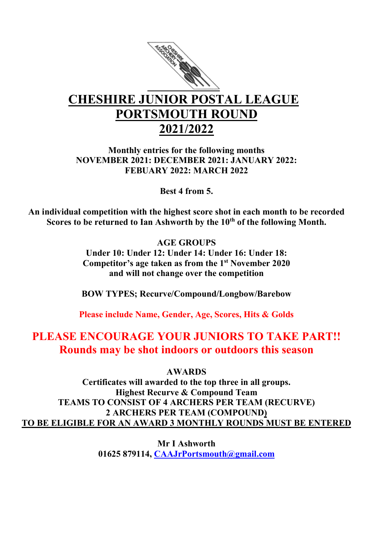

## CHESHIRE JUNIOR POSTAL LEAGUE PORTSMOUTH ROUND 2021/2022

Monthly entries for the following months NOVEMBER 2021: DECEMBER 2021: JANUARY 2022: FEBUARY 2022: MARCH 2022

Best 4 from 5.

An individual competition with the highest score shot in each month to be recorded Scores to be returned to Ian Ashworth by the 10<sup>th</sup> of the following Month.

> AGE GROUPS Under 10: Under 12: Under 14: Under 16: Under 18: Competitor's age taken as from the 1st November 2020 and will not change over the competition

> BOW TYPES; Recurve/Compound/Longbow/Barebow

Please include Name, Gender, Age, Scores, Hits & Golds

## PLEASE ENCOURAGE YOUR JUNIORS TO TAKE PART!! Rounds may be shot indoors or outdoors this season

AWARDS

Certificates will awarded to the top three in all groups. Highest Recurve & Compound Team TEAMS TO CONSIST OF 4 ARCHERS PER TEAM (RECURVE) 2 ARCHERS PER TEAM (COMPOUND) TO BE ELIGIBLE FOR AN AWARD 3 MONTHLY ROUNDS MUST BE ENTERED

> Mr I Ashworth 01625 879114, CAAJrPortsmouth@gmail.com